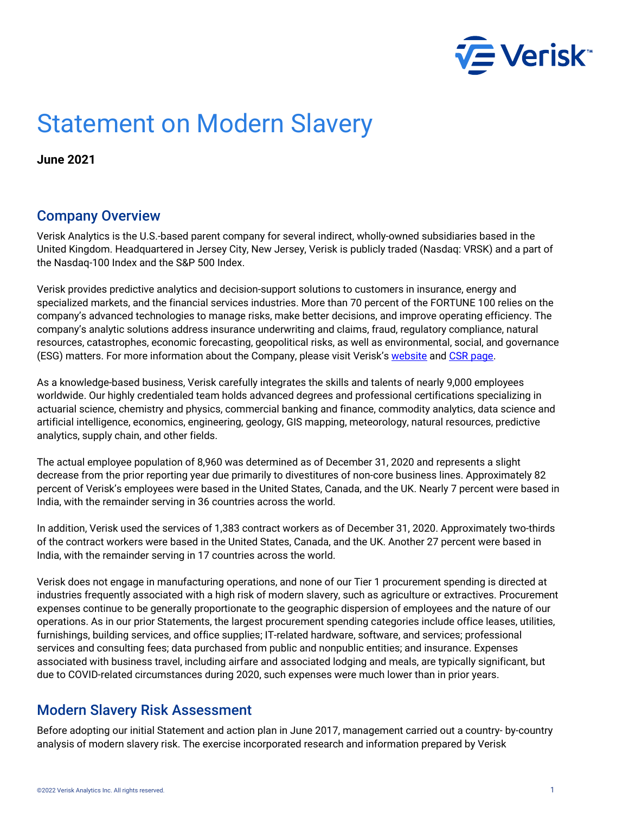

# Statement on Modern Slavery

**June 2021**

#### Company Overview

Verisk Analytics is the U.S.-based parent company for several indirect, wholly-owned subsidiaries based in the United Kingdom. Headquartered in Jersey City, New Jersey, Verisk is publicly traded (Nasdaq: VRSK) and a part of the Nasdaq-100 Index and the S&P 500 Index.

Verisk provides predictive analytics and decision-support solutions to customers in insurance, energy and specialized markets, and the financial services industries. More than 70 percent of the FORTUNE 100 relies on the company's advanced technologies to manage risks, make better decisions, and improve operating efficiency. The company's analytic solutions address insurance underwriting and claims, fraud, regulatory compliance, natural resources, catastrophes, economic forecasting, geopolitical risks, as well as environmental, social, and governance (ESG) matters. For more information about the Company, please visit Verisk's [website](http://www.verisk.com/) and CSR page.

As a knowledge-based business, Verisk carefully integrates the skills and talents of nearly 9,000 employees worldwide. Our highly credentialed team holds advanced degrees and professional certifications specializing in actuarial science, chemistry and physics, commercial banking and finance, commodity analytics, data science and artificial intelligence, economics, engineering, geology, GIS mapping, meteorology, natural resources, predictive analytics, supply chain, and other fields.

The actual employee population of 8,960 was determined as of December 31, 2020 and represents a slight decrease from the prior reporting year due primarily to divestitures of non-core business lines. Approximately 82 percent of Verisk's employees were based in the United States, Canada, and the UK. Nearly 7 percent were based in India, with the remainder serving in 36 countries across the world.

In addition, Verisk used the services of 1,383 contract workers as of December 31, 2020. Approximately two-thirds of the contract workers were based in the United States, Canada, and the UK. Another 27 percent were based in India, with the remainder serving in 17 countries across the world.

Verisk does not engage in manufacturing operations, and none of our Tier 1 procurement spending is directed at industries frequently associated with a high risk of modern slavery, such as agriculture or extractives. Procurement expenses continue to be generally proportionate to the geographic dispersion of employees and the nature of our operations. As in our prior Statements, the largest procurement spending categories include office leases, utilities, furnishings, building services, and office supplies; IT-related hardware, software, and services; professional services and consulting fees; data purchased from public and nonpublic entities; and insurance. Expenses associated with business travel, including airfare and associated lodging and meals, are typically significant, but due to COVID-related circumstances during 2020, such expenses were much lower than in prior years.

### Modern Slavery Risk Assessment

Before adopting our initial Statement and action plan in June 2017, management carried out a country- by-country analysis of modern slavery risk. The exercise incorporated research and information prepared by Verisk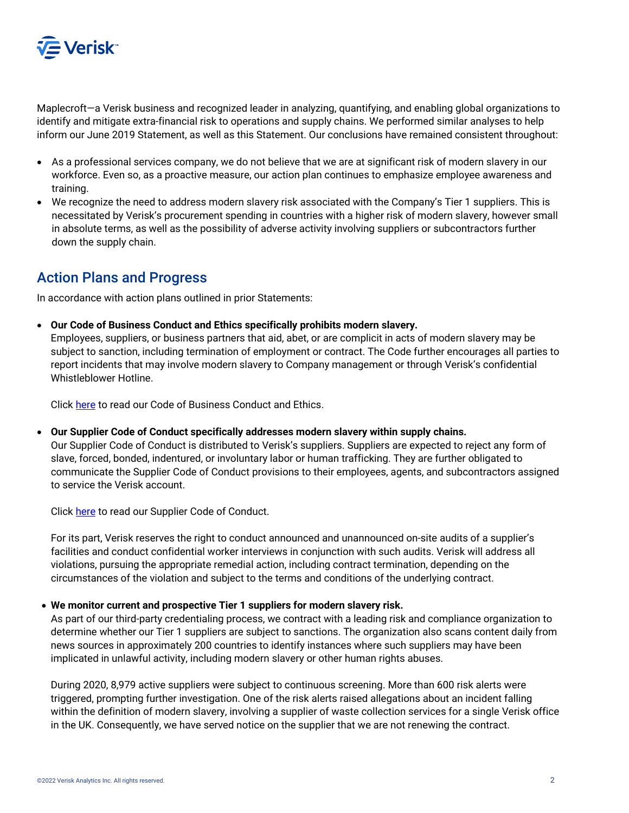

Maplecroft—a Verisk business and recognized leader in analyzing, quantifying, and enabling global organizations to identify and mitigate extra-financial risk to operations and supply chains. We performed similar analyses to help inform our June 2019 Statement, as well as this Statement. Our conclusions have remained consistent throughout:

- As a professional services company, we do not believe that we are at significant risk of modern slavery in our workforce. Even so, as a proactive measure, our action plan continues to emphasize employee awareness and training.
- We recognize the need to address modern slavery risk associated with the Company's Tier 1 suppliers. This is necessitated by Verisk's procurement spending in countries with a higher risk of modern slavery, however small in absolute terms, as well as the possibility of adverse activity involving suppliers or subcontractors further down the supply chain.

### Action Plans and Progress

In accordance with action plans outlined in prior Statements:

• **Our Code of Business Conduct and Ethics specifically prohibits modern slavery.**

Employees, suppliers, or business partners that aid, abet, or are complicit in acts of modern slavery may be subject to sanction, including termination of employment or contract. The Code further encourages all parties to report incidents that may involve modern slavery to Company management or through Verisk's confidential Whistleblower Hotline.

Clic[k here](https://s24.q4cdn.com/609949474/files/governance_docs/Code-of-Business-Conduct-and-Ethics.pdf) to read our Code of Business Conduct and Ethics.

• **Our Supplier Code of Conduct specifically addresses modern slavery within supply chains.** 

Our Supplier Code of Conduct is distributed to Verisk's suppliers. Suppliers are expected to reject any form of slave, forced, bonded, indentured, or involuntary labor or human trafficking. They are further obligated to communicate the Supplier Code of Conduct provisions to their employees, agents, and subcontractors assigned to service the Verisk account.

Clic[k here](https://s24.q4cdn.com/609949474/files/governance_docs/Supplier-Code-of-Conduct.pdf) to read our Supplier Code of Conduct.

For its part, Verisk reserves the right to conduct announced and unannounced on-site audits of a supplier's facilities and conduct confidential worker interviews in conjunction with such audits. Verisk will address all violations, pursuing the appropriate remedial action, including contract termination, depending on the circumstances of the violation and subject to the terms and conditions of the underlying contract.

#### • **We monitor current and prospective Tier 1 suppliers for modern slavery risk.**

As part of our third-party credentialing process, we contract with a leading risk and compliance organization to determine whether our Tier 1 suppliers are subject to sanctions. The organization also scans content daily from news sources in approximately 200 countries to identify instances where such suppliers may have been implicated in unlawful activity, including modern slavery or other human rights abuses.

During 2020, 8,979 active suppliers were subject to continuous screening. More than 600 risk alerts were triggered, prompting further investigation. One of the risk alerts raised allegations about an incident falling within the definition of modern slavery, involving a supplier of waste collection services for a single Verisk office in the UK. Consequently, we have served notice on the supplier that we are not renewing the contract.